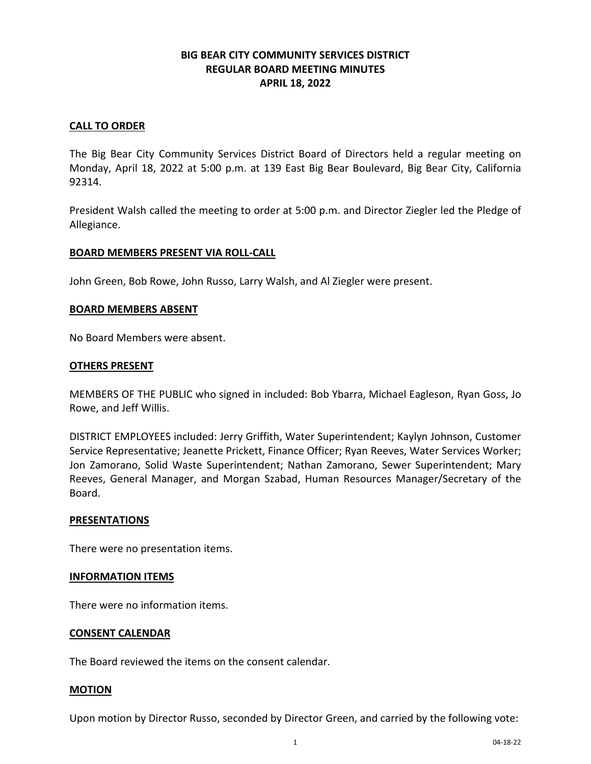# **BIG BEAR CITY COMMUNITY SERVICES DISTRICT REGULAR BOARD MEETING MINUTES APRIL 18, 2022**

## **CALL TO ORDER**

The Big Bear City Community Services District Board of Directors held a regular meeting on Monday, April 18, 2022 at 5:00 p.m. at 139 East Big Bear Boulevard, Big Bear City, California 92314.

President Walsh called the meeting to order at 5:00 p.m. and Director Ziegler led the Pledge of Allegiance.

## **BOARD MEMBERS PRESENT VIA ROLL-CALL**

John Green, Bob Rowe, John Russo, Larry Walsh, and Al Ziegler were present.

## **BOARD MEMBERS ABSENT**

No Board Members were absent.

## **OTHERS PRESENT**

MEMBERS OF THE PUBLIC who signed in included: Bob Ybarra, Michael Eagleson, Ryan Goss, Jo Rowe, and Jeff Willis.

DISTRICT EMPLOYEES included: Jerry Griffith, Water Superintendent; Kaylyn Johnson, Customer Service Representative; Jeanette Prickett, Finance Officer; Ryan Reeves, Water Services Worker; Jon Zamorano, Solid Waste Superintendent; Nathan Zamorano, Sewer Superintendent; Mary Reeves, General Manager, and Morgan Szabad, Human Resources Manager/Secretary of the Board.

## **PRESENTATIONS**

There were no presentation items.

## **INFORMATION ITEMS**

There were no information items.

## **CONSENT CALENDAR**

The Board reviewed the items on the consent calendar.

## **MOTION**

Upon motion by Director Russo, seconded by Director Green, and carried by the following vote: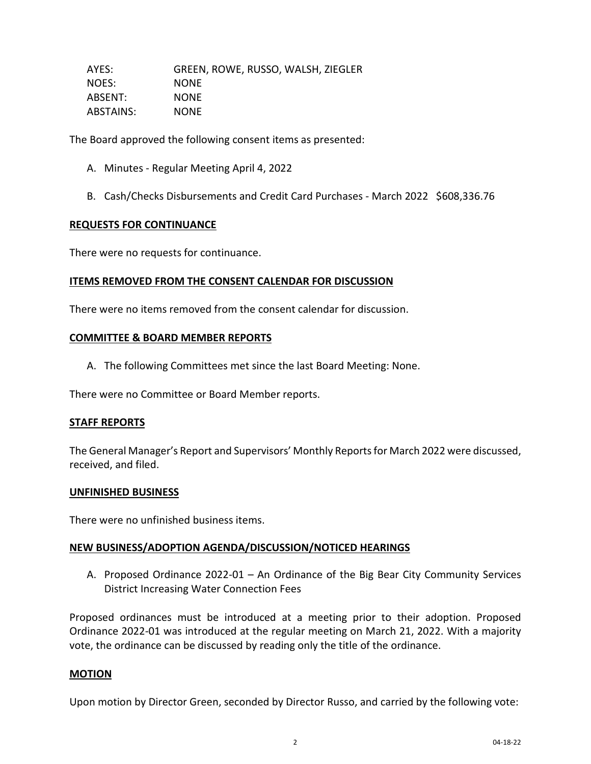AYES: GREEN, ROWE, RUSSO, WALSH, ZIEGLER NOES: NONE ABSENT: NONE ABSTAINS: NONE

The Board approved the following consent items as presented:

- A. Minutes Regular Meeting April 4, 2022
- B. Cash/Checks Disbursements and Credit Card Purchases March 2022 \$608,336.76

#### **REQUESTS FOR CONTINUANCE**

There were no requests for continuance.

## **ITEMS REMOVED FROM THE CONSENT CALENDAR FOR DISCUSSION**

There were no items removed from the consent calendar for discussion.

#### **COMMITTEE & BOARD MEMBER REPORTS**

A. The following Committees met since the last Board Meeting: None.

There were no Committee or Board Member reports.

#### **STAFF REPORTS**

The General Manager's Report and Supervisors' Monthly Reports for March 2022 were discussed, received, and filed.

#### **UNFINISHED BUSINESS**

There were no unfinished business items.

#### **NEW BUSINESS/ADOPTION AGENDA/DISCUSSION/NOTICED HEARINGS**

A. Proposed Ordinance 2022-01 – An Ordinance of the Big Bear City Community Services District Increasing Water Connection Fees

Proposed ordinances must be introduced at a meeting prior to their adoption. Proposed Ordinance 2022-01 was introduced at the regular meeting on March 21, 2022. With a majority vote, the ordinance can be discussed by reading only the title of the ordinance.

## **MOTION**

Upon motion by Director Green, seconded by Director Russo, and carried by the following vote: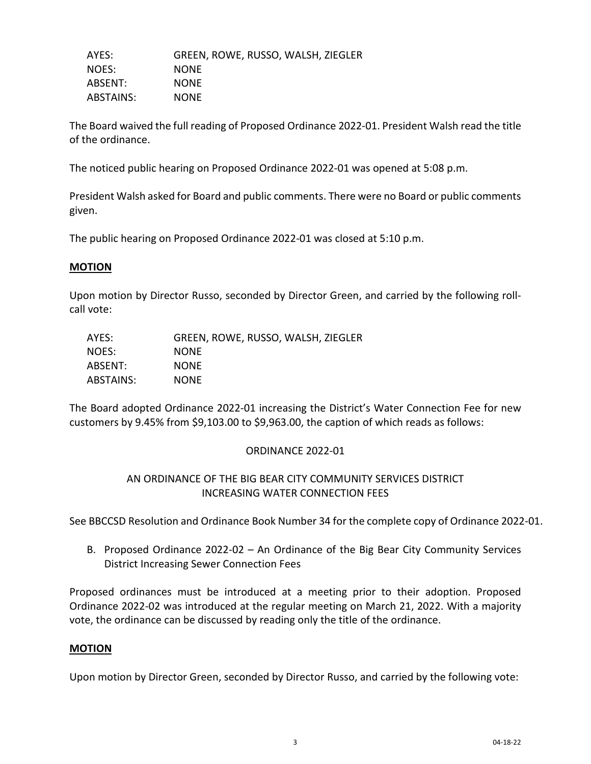AYES: GREEN, ROWE, RUSSO, WALSH, ZIEGLER NOES: NONE ABSENT: NONE ABSTAINS: NONE

The Board waived the full reading of Proposed Ordinance 2022-01. President Walsh read the title of the ordinance.

The noticed public hearing on Proposed Ordinance 2022-01 was opened at 5:08 p.m.

President Walsh asked for Board and public comments. There were no Board or public comments given.

The public hearing on Proposed Ordinance 2022-01 was closed at 5:10 p.m.

## **MOTION**

Upon motion by Director Russo, seconded by Director Green, and carried by the following rollcall vote:

| AYES:     | GREEN, ROWE, RUSSO, WALSH, ZIEGLER |
|-----------|------------------------------------|
| NOES:     | <b>NONE</b>                        |
| ABSENT:   | <b>NONE</b>                        |
| ABSTAINS: | <b>NONE</b>                        |

The Board adopted Ordinance 2022-01 increasing the District's Water Connection Fee for new customers by 9.45% from \$9,103.00 to \$9,963.00, the caption of which reads as follows:

## ORDINANCE 2022-01

# AN ORDINANCE OF THE BIG BEAR CITY COMMUNITY SERVICES DISTRICT INCREASING WATER CONNECTION FEES

See BBCCSD Resolution and Ordinance Book Number 34 for the complete copy of Ordinance 2022-01.

B. Proposed Ordinance 2022-02 – An Ordinance of the Big Bear City Community Services District Increasing Sewer Connection Fees

Proposed ordinances must be introduced at a meeting prior to their adoption. Proposed Ordinance 2022-02 was introduced at the regular meeting on March 21, 2022. With a majority vote, the ordinance can be discussed by reading only the title of the ordinance.

## **MOTION**

Upon motion by Director Green, seconded by Director Russo, and carried by the following vote: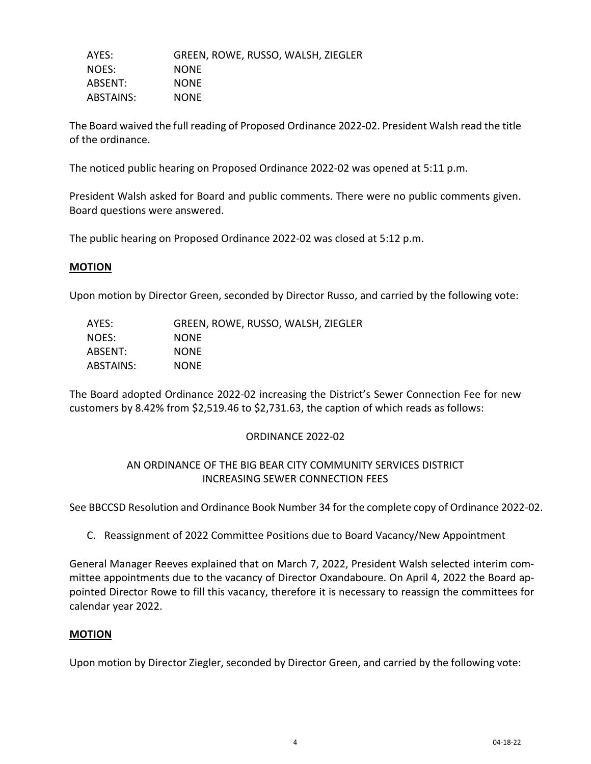AYES: GREEN, ROWE, RUSSO, WALSH, ZIEGLER NOES: NONE ABSENT: NONE ABSTAINS: NONE

The Board waived the full reading of Proposed Ordinance 2022-02. President Walsh read the title of the ordinance.

The noticed public hearing on Proposed Ordinance 2022-02 was opened at 5:11 p.m.

President Walsh asked for Board and public comments. There were no public comments given. Board questions were answered.

The public hearing on Proposed Ordinance 2022-02 was closed at 5:12 p.m.

## **MOTION**

Upon motion by Director Green, seconded by Director Russo, and carried by the following vote:

| AYES:     | GREEN, ROWE, RUSSO, WALSH, ZIEGLER |
|-----------|------------------------------------|
| NOES:     | <b>NONE</b>                        |
| ABSENT:   | <b>NONE</b>                        |
| ABSTAINS: | <b>NONE</b>                        |

The Board adopted Ordinance 2022-02 increasing the District's Sewer Connection Fee for new customers by 8.42% from \$2,519.46 to \$2,731.63, the caption of which reads as follows:

## ORDINANCE 2022-02

## AN ORDINANCE OF THE BIG BEAR CITY COMMUNITY SERVICES DISTRICT INCREASING SEWER CONNECTION FEES

See BBCCSD Resolution and Ordinance Book Number 34 for the complete copy of Ordinance 2022-02.

C. Reassignment of 2022 Committee Positions due to Board Vacancy/New Appointment

General Manager Reeves explained that on March 7, 2022, President Walsh selected interim committee appointments due to the vacancy of Director Oxandaboure. On April 4, 2022 the Board appointed Director Rowe to fill this vacancy, therefore it is necessary to reassign the committees for calendar year 2022.

## **MOTION**

Upon motion by Director Ziegler, seconded by Director Green, and carried by the following vote: